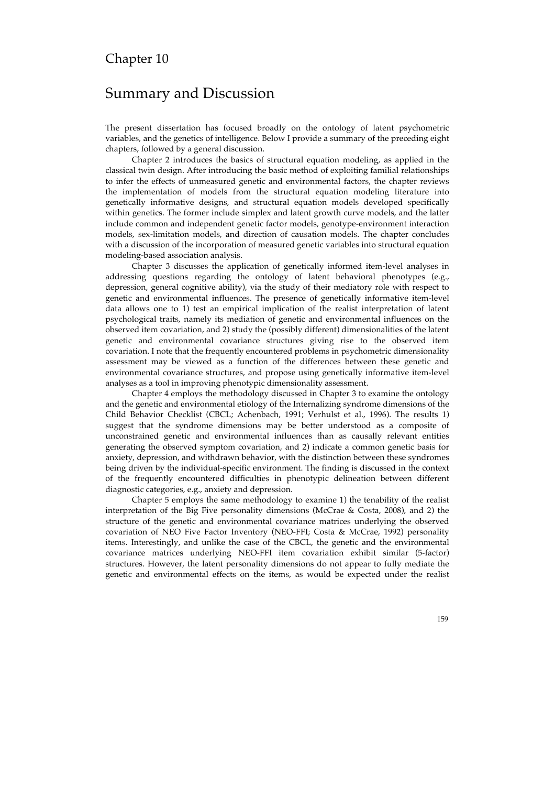# Chapter 10

# Summary and Discussion

The present dissertation has focused broadly on the ontology of latent psychometric variables, and the genetics of intelligence. Below I provide a summary of the preceding eight chapters, followed by a general discussion.

Chapter 2 introduces the basics of structural equation modeling, as applied in the classical twin design. After introducing the basic method of exploiting familial relationships to infer the effects of unmeasured genetic and environmental factors, the chapter reviews the implementation of models from the structural equation modeling literature into genetically informative designs, and structural equation models developed specifically within genetics. The former include simplex and latent growth curve models, and the latter include common and independent genetic factor models, genotype-environment interaction models, sex-limitation models, and direction of causation models. The chapter concludes with a discussion of the incorporation of measured genetic variables into structural equation modeling-based association analysis.

Chapter 3 discusses the application of genetically informed item-level analyses in addressing questions regarding the ontology of latent behavioral phenotypes (e.g., depression, general cognitive ability), via the study of their mediatory role with respect to genetic and environmental influences. The presence of genetically informative item-level data allows one to 1) test an empirical implication of the realist interpretation of latent psychological traits, namely its mediation of genetic and environmental influences on the observed item covariation, and 2) study the (possibly different) dimensionalities of the latent genetic and environmental covariance structures giving rise to the observed item covariation. I note that the frequently encountered problems in psychometric dimensionality assessment may be viewed as a function of the differences between these genetic and environmental covariance structures, and propose using genetically informative item-level analyses as a tool in improving phenotypic dimensionality assessment.

Chapter 4 employs the methodology discussed in Chapter 3 to examine the ontology and the genetic and environmental etiology of the Internalizing syndrome dimensions of the Child Behavior Checklist (CBCL; Achenbach, 1991; Verhulst et al., 1996). The results 1) suggest that the syndrome dimensions may be better understood as a composite of unconstrained genetic and environmental influences than as causally relevant entities generating the observed symptom covariation, and 2) indicate a common genetic basis for anxiety, depression, and withdrawn behavior, with the distinction between these syndromes being driven by the individual-specific environment. The finding is discussed in the context of the frequently encountered difficulties in phenotypic delineation between different diagnostic categories, e.g., anxiety and depression.

Chapter 5 employs the same methodology to examine 1) the tenability of the realist interpretation of the Big Five personality dimensions (McCrae & Costa, 2008), and 2) the structure of the genetic and environmental covariance matrices underlying the observed covariation of NEO Five Factor Inventory (NEO-FFI; Costa & McCrae, 1992) personality items. Interestingly, and unlike the case of the CBCL, the genetic and the environmental covariance matrices underlying NEO-FFI item covariation exhibit similar (5-factor) structures. However, the latent personality dimensions do not appear to fully mediate the genetic and environmental effects on the items, as would be expected under the realist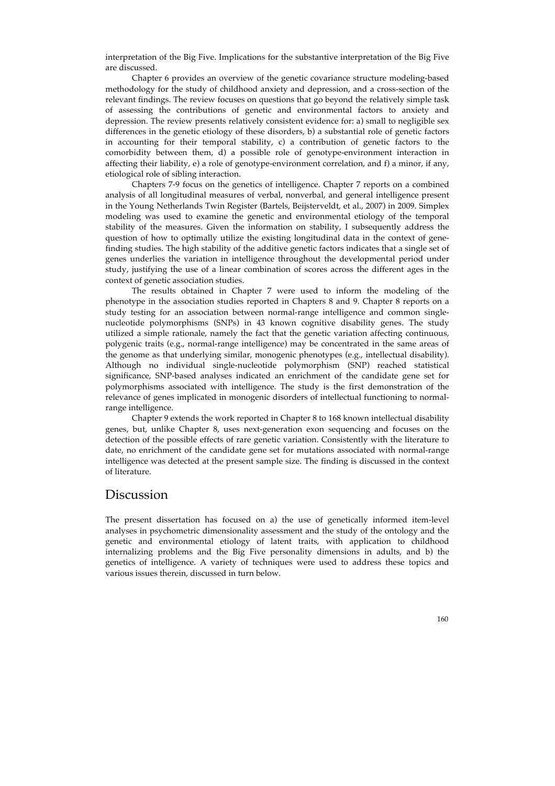interpretation of the Big Five. Implications for the substantive interpretation of the Big Five are discussed.

Chapter 6 provides an overview of the genetic covariance structure modeling-based methodology for the study of childhood anxiety and depression, and a cross-section of the relevant findings. The review focuses on questions that go beyond the relatively simple task of assessing the contributions of genetic and environmental factors to anxiety and depression. The review presents relatively consistent evidence for: a) small to negligible sex differences in the genetic etiology of these disorders, b) a substantial role of genetic factors in accounting for their temporal stability, c) a contribution of genetic factors to the comorbidity between them, d) a possible role of genotype-environment interaction in affecting their liability, e) a role of genotype-environment correlation, and f) a minor, if any, etiological role of sibling interaction.

Chapters 7-9 focus on the genetics of intelligence. Chapter 7 reports on a combined analysis of all longitudinal measures of verbal, nonverbal, and general intelligence present in the Young Netherlands Twin Register (Bartels, Beijsterveldt, et al., 2007) in 2009. Simplex modeling was used to examine the genetic and environmental etiology of the temporal stability of the measures. Given the information on stability, I subsequently address the question of how to optimally utilize the existing longitudinal data in the context of genefinding studies. The high stability of the additive genetic factors indicates that a single set of genes underlies the variation in intelligence throughout the developmental period under study, justifying the use of a linear combination of scores across the different ages in the context of genetic association studies.

The results obtained in Chapter 7 were used to inform the modeling of the phenotype in the association studies reported in Chapters 8 and 9. Chapter 8 reports on a study testing for an association between normal-range intelligence and common singlenucleotide polymorphisms (SNPs) in 43 known cognitive disability genes. The study utilized a simple rationale, namely the fact that the genetic variation affecting continuous, polygenic traits (e.g., normal-range intelligence) may be concentrated in the same areas of the genome as that underlying similar, monogenic phenotypes (e.g., intellectual disability). Although no individual single-nucleotide polymorphism (SNP) reached statistical significance, SNP-based analyses indicated an enrichment of the candidate gene set for polymorphisms associated with intelligence. The study is the first demonstration of the relevance of genes implicated in monogenic disorders of intellectual functioning to normalrange intelligence.

Chapter 9 extends the work reported in Chapter 8 to 168 known intellectual disability genes, but, unlike Chapter 8, uses next-generation exon sequencing and focuses on the detection of the possible effects of rare genetic variation. Consistently with the literature to date, no enrichment of the candidate gene set for mutations associated with normal-range intelligence was detected at the present sample size. The finding is discussed in the context of literature.

### Discussion

The present dissertation has focused on a) the use of genetically informed item-level analyses in psychometric dimensionality assessment and the study of the ontology and the genetic and environmental etiology of latent traits, with application to childhood internalizing problems and the Big Five personality dimensions in adults, and b) the genetics of intelligence. A variety of techniques were used to address these topics and various issues therein, discussed in turn below.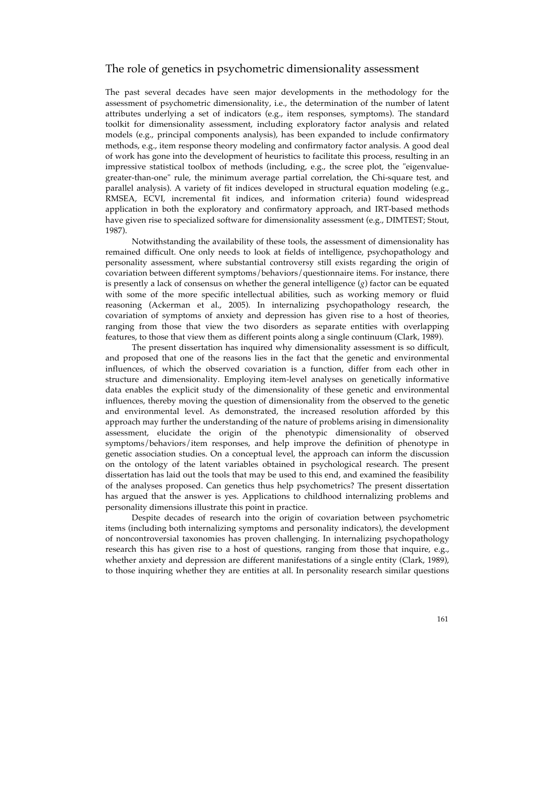#### The role of genetics in psychometric dimensionality assessment

The past several decades have seen major developments in the methodology for the assessment of psychometric dimensionality, i.e., the determination of the number of latent attributes underlying a set of indicators (e.g., item responses, symptoms). The standard toolkit for dimensionality assessment, including exploratory factor analysis and related models (e.g., principal components analysis), has been expanded to include confirmatory methods, e.g., item response theory modeling and confirmatory factor analysis. A good deal of work has gone into the development of heuristics to facilitate this process, resulting in an impressive statistical toolbox of methods (including, e.g., the scree plot, the "eigenvaluegreater-than-one" rule, the minimum average partial correlation, the Chi-square test, and parallel analysis). A variety of fit indices developed in structural equation modeling (e.g., RMSEA, ECVI, incremental fit indices, and information criteria) found widespread application in both the exploratory and confirmatory approach, and IRT-based methods have given rise to specialized software for dimensionality assessment (e.g., DIMTEST; Stout, 1987).

Notwithstanding the availability of these tools, the assessment of dimensionality has remained difficult. One only needs to look at fields of intelligence, psychopathology and personality assessment, where substantial controversy still exists regarding the origin of covariation between different symptoms/behaviors/questionnaire items. For instance, there is presently a lack of consensus on whether the general intelligence (*g*) factor can be equated with some of the more specific intellectual abilities, such as working memory or fluid reasoning (Ackerman et al., 2005). In internalizing psychopathology research, the covariation of symptoms of anxiety and depression has given rise to a host of theories, ranging from those that view the two disorders as separate entities with overlapping features, to those that view them as different points along a single continuum (Clark, 1989).

The present dissertation has inquired why dimensionality assessment is so difficult, and proposed that one of the reasons lies in the fact that the genetic and environmental influences, of which the observed covariation is a function, differ from each other in structure and dimensionality. Employing item-level analyses on genetically informative data enables the explicit study of the dimensionality of these genetic and environmental influences, thereby moving the question of dimensionality from the observed to the genetic and environmental level. As demonstrated, the increased resolution afforded by this approach may further the understanding of the nature of problems arising in dimensionality assessment, elucidate the origin of the phenotypic dimensionality of observed symptoms/behaviors/item responses, and help improve the definition of phenotype in genetic association studies. On a conceptual level, the approach can inform the discussion on the ontology of the latent variables obtained in psychological research. The present dissertation has laid out the tools that may be used to this end, and examined the feasibility of the analyses proposed. Can genetics thus help psychometrics? The present dissertation has argued that the answer is yes. Applications to childhood internalizing problems and personality dimensions illustrate this point in practice.

Despite decades of research into the origin of covariation between psychometric items (including both internalizing symptoms and personality indicators), the development of noncontroversial taxonomies has proven challenging. In internalizing psychopathology research this has given rise to a host of questions, ranging from those that inquire, e.g., whether anxiety and depression are different manifestations of a single entity (Clark, 1989), to those inquiring whether they are entities at all. In personality research similar questions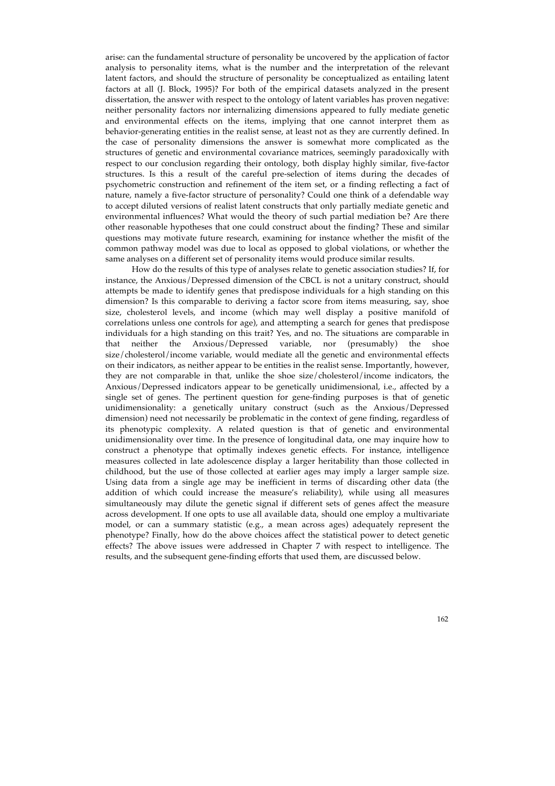arise: can the fundamental structure of personality be uncovered by the application of factor analysis to personality items, what is the number and the interpretation of the relevant latent factors, and should the structure of personality be conceptualized as entailing latent factors at all (J. Block, 1995)? For both of the empirical datasets analyzed in the present dissertation, the answer with respect to the ontology of latent variables has proven negative: neither personality factors nor internalizing dimensions appeared to fully mediate genetic and environmental effects on the items, implying that one cannot interpret them as behavior-generating entities in the realist sense, at least not as they are currently defined. In the case of personality dimensions the answer is somewhat more complicated as the structures of genetic and environmental covariance matrices, seemingly paradoxically with respect to our conclusion regarding their ontology, both display highly similar, five-factor structures. Is this a result of the careful pre-selection of items during the decades of psychometric construction and refinement of the item set, or a finding reflecting a fact of nature, namely a five-factor structure of personality? Could one think of a defendable way to accept diluted versions of realist latent constructs that only partially mediate genetic and environmental influences? What would the theory of such partial mediation be? Are there other reasonable hypotheses that one could construct about the finding? These and similar questions may motivate future research, examining for instance whether the misfit of the common pathway model was due to local as opposed to global violations, or whether the same analyses on a different set of personality items would produce similar results.

How do the results of this type of analyses relate to genetic association studies? If, for instance, the Anxious/Depressed dimension of the CBCL is not a unitary construct, should attempts be made to identify genes that predispose individuals for a high standing on this dimension? Is this comparable to deriving a factor score from items measuring, say, shoe size, cholesterol levels, and income (which may well display a positive manifold of correlations unless one controls for age), and attempting a search for genes that predispose individuals for a high standing on this trait? Yes, and no. The situations are comparable in that neither the Anxious/Depressed variable, nor (presumably) the shoe size/cholesterol/income variable, would mediate all the genetic and environmental effects on their indicators, as neither appear to be entities in the realist sense. Importantly, however, they are not comparable in that, unlike the shoe size/cholesterol/income indicators, the Anxious/Depressed indicators appear to be genetically unidimensional, i.e., affected by a single set of genes. The pertinent question for gene-finding purposes is that of genetic unidimensionality: a genetically unitary construct (such as the Anxious/Depressed dimension) need not necessarily be problematic in the context of gene finding, regardless of its phenotypic complexity. A related question is that of genetic and environmental unidimensionality over time. In the presence of longitudinal data, one may inquire how to construct a phenotype that optimally indexes genetic effects. For instance, intelligence measures collected in late adolescence display a larger heritability than those collected in childhood, but the use of those collected at earlier ages may imply a larger sample size. Using data from a single age may be inefficient in terms of discarding other data (the addition of which could increase the measure's reliability), while using all measures simultaneously may dilute the genetic signal if different sets of genes affect the measure across development. If one opts to use all available data, should one employ a multivariate model, or can a summary statistic (e.g., a mean across ages) adequately represent the phenotype? Finally, how do the above choices affect the statistical power to detect genetic effects? The above issues were addressed in Chapter 7 with respect to intelligence. The results, and the subsequent gene-finding efforts that used them, are discussed below.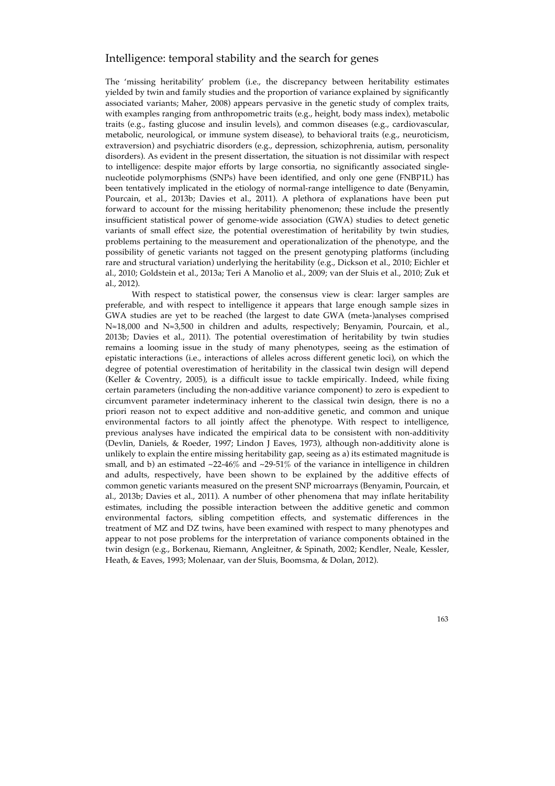### Intelligence: temporal stability and the search for genes

The 'missing heritability' problem (i.e., the discrepancy between heritability estimates yielded by twin and family studies and the proportion of variance explained by significantly associated variants; Maher, 2008) appears pervasive in the genetic study of complex traits, with examples ranging from anthropometric traits (e.g., height, body mass index), metabolic traits (e.g., fasting glucose and insulin levels), and common diseases (e.g., cardiovascular, metabolic, neurological, or immune system disease), to behavioral traits (e.g., neuroticism, extraversion) and psychiatric disorders (e.g., depression, schizophrenia, autism, personality disorders). As evident in the present dissertation, the situation is not dissimilar with respect to intelligence: despite major efforts by large consortia, no significantly associated singlenucleotide polymorphisms (SNPs) have been identified, and only one gene (FNBP1L) has been tentatively implicated in the etiology of normal-range intelligence to date (Benyamin, Pourcain, et al., 2013b; Davies et al., 2011). A plethora of explanations have been put forward to account for the missing heritability phenomenon; these include the presently insufficient statistical power of genome-wide association (GWA) studies to detect genetic variants of small effect size, the potential overestimation of heritability by twin studies, problems pertaining to the measurement and operationalization of the phenotype, and the possibility of genetic variants not tagged on the present genotyping platforms (including rare and structural variation) underlying the heritability (e.g., Dickson et al., 2010; Eichler et al., 2010; Goldstein et al., 2013a; Teri A Manolio et al., 2009; van der Sluis et al., 2010; Zuk et al., 2012).

With respect to statistical power, the consensus view is clear: larger samples are preferable, and with respect to intelligence it appears that large enough sample sizes in GWA studies are yet to be reached (the largest to date GWA (meta-)analyses comprised N≈18,000 and N≈3,500 in children and adults, respectively; Benyamin, Pourcain, et al., 2013b; Davies et al., 2011). The potential overestimation of heritability by twin studies remains a looming issue in the study of many phenotypes, seeing as the estimation of epistatic interactions (i.e., interactions of alleles across different genetic loci), on which the degree of potential overestimation of heritability in the classical twin design will depend (Keller & Coventry, 2005), is a difficult issue to tackle empirically. Indeed, while fixing certain parameters (including the non-additive variance component) to zero is expedient to circumvent parameter indeterminacy inherent to the classical twin design, there is no a priori reason not to expect additive and non-additive genetic, and common and unique environmental factors to all jointly affect the phenotype. With respect to intelligence, previous analyses have indicated the empirical data to be consistent with non-additivity (Devlin, Daniels, & Roeder, 1997; Lindon J Eaves, 1973), although non-additivity alone is unlikely to explain the entire missing heritability gap, seeing as a) its estimated magnitude is small, and b) an estimated  $\sim$ 22-46% and  $\sim$ 29-51% of the variance in intelligence in children and adults, respectively, have been shown to be explained by the additive effects of common genetic variants measured on the present SNP microarrays (Benyamin, Pourcain, et al., 2013b; Davies et al., 2011). A number of other phenomena that may inflate heritability estimates, including the possible interaction between the additive genetic and common environmental factors, sibling competition effects, and systematic differences in the treatment of MZ and DZ twins, have been examined with respect to many phenotypes and appear to not pose problems for the interpretation of variance components obtained in the twin design (e.g., Borkenau, Riemann, Angleitner, & Spinath, 2002; Kendler, Neale, Kessler, Heath, & Eaves, 1993; Molenaar, van der Sluis, Boomsma, & Dolan, 2012).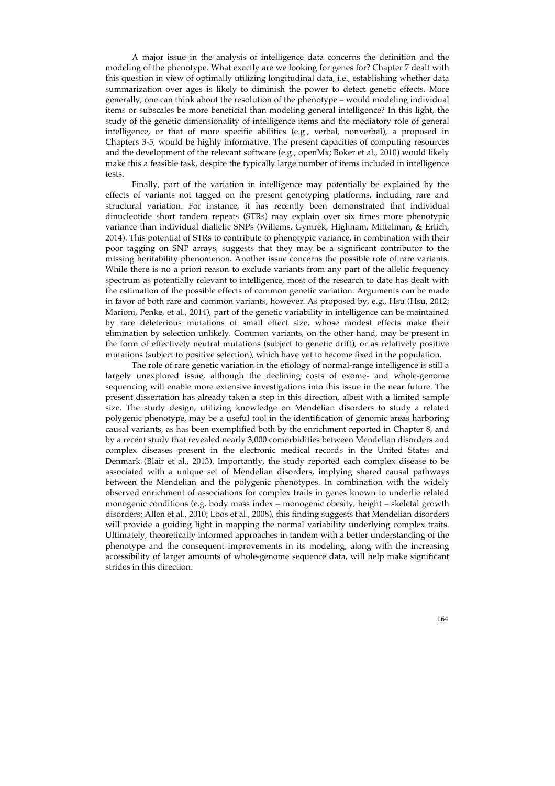A major issue in the analysis of intelligence data concerns the definition and the modeling of the phenotype. What exactly are we looking for genes for? Chapter 7 dealt with this question in view of optimally utilizing longitudinal data, i.e., establishing whether data summarization over ages is likely to diminish the power to detect genetic effects. More generally, one can think about the resolution of the phenotype – would modeling individual items or subscales be more beneficial than modeling general intelligence? In this light, the study of the genetic dimensionality of intelligence items and the mediatory role of general intelligence, or that of more specific abilities (e.g., verbal, nonverbal), a proposed in Chapters 3-5, would be highly informative. The present capacities of computing resources and the development of the relevant software (e.g., openMx; Boker et al., 2010) would likely make this a feasible task, despite the typically large number of items included in intelligence tests.

Finally, part of the variation in intelligence may potentially be explained by the effects of variants not tagged on the present genotyping platforms, including rare and structural variation. For instance, it has recently been demonstrated that individual dinucleotide short tandem repeats (STRs) may explain over six times more phenotypic variance than individual diallelic SNPs (Willems, Gymrek, Highnam, Mittelman, & Erlich, 2014). This potential of STRs to contribute to phenotypic variance, in combination with their poor tagging on SNP arrays, suggests that they may be a significant contributor to the missing heritability phenomenon. Another issue concerns the possible role of rare variants. While there is no a priori reason to exclude variants from any part of the allelic frequency spectrum as potentially relevant to intelligence, most of the research to date has dealt with the estimation of the possible effects of common genetic variation. Arguments can be made in favor of both rare and common variants, however. As proposed by, e.g., Hsu (Hsu, 2012; Marioni, Penke, et al., 2014), part of the genetic variability in intelligence can be maintained by rare deleterious mutations of small effect size, whose modest effects make their elimination by selection unlikely. Common variants, on the other hand, may be present in the form of effectively neutral mutations (subject to genetic drift), or as relatively positive mutations (subject to positive selection), which have yet to become fixed in the population.

The role of rare genetic variation in the etiology of normal-range intelligence is still a largely unexplored issue, although the declining costs of exome- and whole-genome sequencing will enable more extensive investigations into this issue in the near future. The present dissertation has already taken a step in this direction, albeit with a limited sample size. The study design, utilizing knowledge on Mendelian disorders to study a related polygenic phenotype, may be a useful tool in the identification of genomic areas harboring causal variants, as has been exemplified both by the enrichment reported in Chapter 8, and by a recent study that revealed nearly 3,000 comorbidities between Mendelian disorders and complex diseases present in the electronic medical records in the United States and Denmark (Blair et al., 2013). Importantly, the study reported each complex disease to be associated with a unique set of Mendelian disorders, implying shared causal pathways between the Mendelian and the polygenic phenotypes. In combination with the widely observed enrichment of associations for complex traits in genes known to underlie related monogenic conditions (e.g. body mass index – monogenic obesity, height – skeletal growth disorders; Allen et al., 2010; Loos et al., 2008), this finding suggests that Mendelian disorders will provide a guiding light in mapping the normal variability underlying complex traits. Ultimately, theoretically informed approaches in tandem with a better understanding of the phenotype and the consequent improvements in its modeling, along with the increasing accessibility of larger amounts of whole-genome sequence data, will help make significant strides in this direction.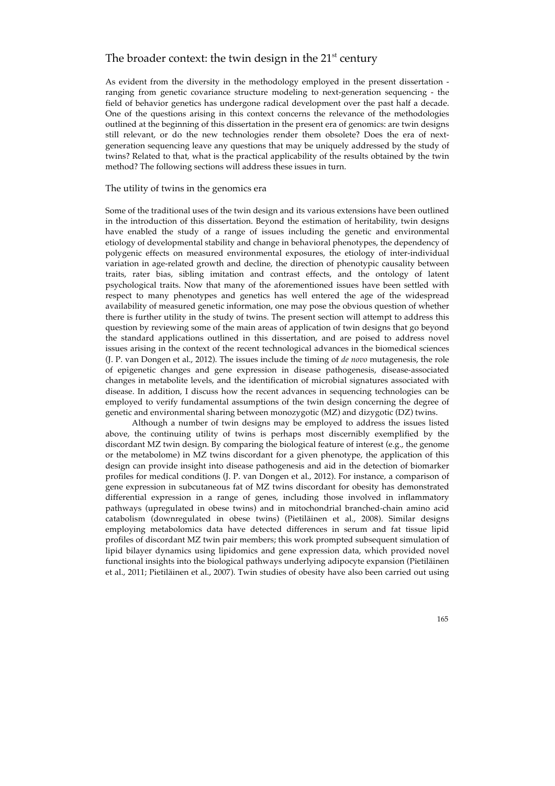## The broader context: the twin design in the  $21<sup>st</sup>$  century

As evident from the diversity in the methodology employed in the present dissertation ranging from genetic covariance structure modeling to next-generation sequencing - the field of behavior genetics has undergone radical development over the past half a decade. One of the questions arising in this context concerns the relevance of the methodologies outlined at the beginning of this dissertation in the present era of genomics: are twin designs still relevant, or do the new technologies render them obsolete? Does the era of nextgeneration sequencing leave any questions that may be uniquely addressed by the study of twins? Related to that, what is the practical applicability of the results obtained by the twin method? The following sections will address these issues in turn.

#### The utility of twins in the genomics era

Some of the traditional uses of the twin design and its various extensions have been outlined in the introduction of this dissertation. Beyond the estimation of heritability, twin designs have enabled the study of a range of issues including the genetic and environmental etiology of developmental stability and change in behavioral phenotypes, the dependency of polygenic effects on measured environmental exposures, the etiology of inter-individual variation in age-related growth and decline, the direction of phenotypic causality between traits, rater bias, sibling imitation and contrast effects, and the ontology of latent psychological traits. Now that many of the aforementioned issues have been settled with respect to many phenotypes and genetics has well entered the age of the widespread availability of measured genetic information, one may pose the obvious question of whether there is further utility in the study of twins. The present section will attempt to address this question by reviewing some of the main areas of application of twin designs that go beyond the standard applications outlined in this dissertation, and are poised to address novel issues arising in the context of the recent technological advances in the biomedical sciences (J. P. van Dongen et al., 2012). The issues include the timing of *de novo* mutagenesis, the role of epigenetic changes and gene expression in disease pathogenesis, disease-associated changes in metabolite levels, and the identification of microbial signatures associated with disease. In addition, I discuss how the recent advances in sequencing technologies can be employed to verify fundamental assumptions of the twin design concerning the degree of genetic and environmental sharing between monozygotic (MZ) and dizygotic (DZ) twins.

Although a number of twin designs may be employed to address the issues listed above, the continuing utility of twins is perhaps most discernibly exemplified by the discordant MZ twin design. By comparing the biological feature of interest (e.g., the genome or the metabolome) in MZ twins discordant for a given phenotype, the application of this design can provide insight into disease pathogenesis and aid in the detection of biomarker profiles for medical conditions (J. P. van Dongen et al., 2012). For instance, a comparison of gene expression in subcutaneous fat of MZ twins discordant for obesity has demonstrated differential expression in a range of genes, including those involved in inflammatory pathways (upregulated in obese twins) and in mitochondrial branched-chain amino acid catabolism (downregulated in obese twins) (Pietiläinen et al., 2008). Similar designs employing metabolomics data have detected differences in serum and fat tissue lipid profiles of discordant MZ twin pair members; this work prompted subsequent simulation of lipid bilayer dynamics using lipidomics and gene expression data, which provided novel functional insights into the biological pathways underlying adipocyte expansion (Pietiläinen et al., 2011; Pietiläinen et al., 2007). Twin studies of obesity have also been carried out using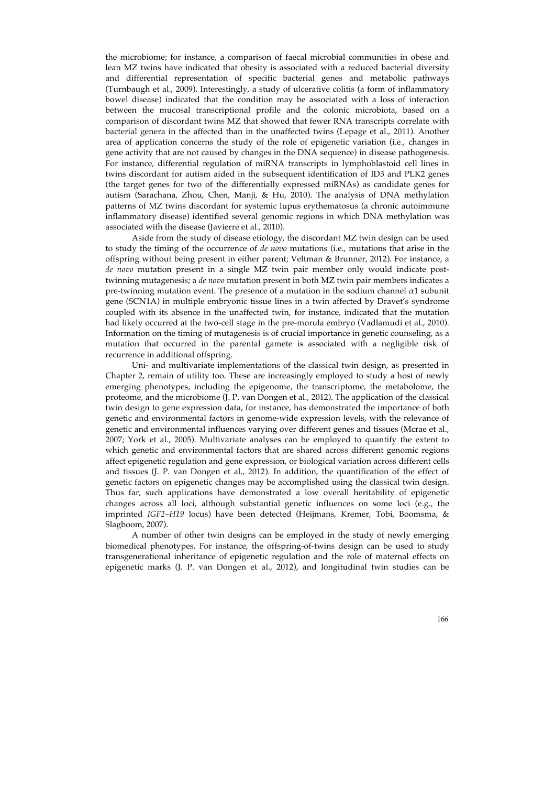the microbiome; for instance, a comparison of faecal microbial communities in obese and lean MZ twins have indicated that obesity is associated with a reduced bacterial diversity and differential representation of specific bacterial genes and metabolic pathways (Turnbaugh et al., 2009). Interestingly, a study of ulcerative colitis (a form of inflammatory bowel disease) indicated that the condition may be associated with a loss of interaction between the mucosal transcriptional profile and the colonic microbiota, based on a comparison of discordant twins MZ that showed that fewer RNA transcripts correlate with bacterial genera in the affected than in the unaffected twins (Lepage et al., 2011). Another area of application concerns the study of the role of epigenetic variation (i.e., changes in gene activity that are not caused by changes in the DNA sequence) in disease pathogenesis. For instance, differential regulation of miRNA transcripts in lymphoblastoid cell lines in twins discordant for autism aided in the subsequent identification of ID3 and PLK2 genes (the target genes for two of the differentially expressed miRNAs) as candidate genes for autism (Sarachana, Zhou, Chen, Manji, & Hu, 2010). The analysis of DNA methylation patterns of MZ twins discordant for systemic lupus erythematosus (a chronic autoimmune inflammatory disease) identified several genomic regions in which DNA methylation was associated with the disease (Javierre et al., 2010).

Aside from the study of disease etiology, the discordant MZ twin design can be used to study the timing of the occurrence of *de novo* mutations (i.e., mutations that arise in the offspring without being present in either parent; Veltman & Brunner, 2012). For instance, a *de novo* mutation present in a single MZ twin pair member only would indicate posttwinning mutagenesis; a *de novo* mutation present in both MZ twin pair members indicates a pre-twinning mutation event. The presence of a mutation in the sodium channel  $\alpha$ 1 subunit gene (SCN1A) in multiple embryonic tissue lines in a twin affected by Dravet's syndrome coupled with its absence in the unaffected twin, for instance, indicated that the mutation had likely occurred at the two-cell stage in the pre-morula embryo (Vadlamudi et al., 2010). Information on the timing of mutagenesis is of crucial importance in genetic counseling, as a mutation that occurred in the parental gamete is associated with a negligible risk of recurrence in additional offspring.

Uni- and multivariate implementations of the classical twin design, as presented in Chapter 2, remain of utility too. These are increasingly employed to study a host of newly emerging phenotypes, including the epigenome, the transcriptome, the metabolome, the proteome, and the microbiome (J. P. van Dongen et al., 2012). The application of the classical twin design to gene expression data, for instance, has demonstrated the importance of both genetic and environmental factors in genome-wide expression levels, with the relevance of genetic and environmental influences varying over different genes and tissues (Mcrae et al., 2007; York et al., 2005). Multivariate analyses can be employed to quantify the extent to which genetic and environmental factors that are shared across different genomic regions affect epigenetic regulation and gene expression, or biological variation across different cells and tissues (J. P. van Dongen et al., 2012). In addition, the quantification of the effect of genetic factors on epigenetic changes may be accomplished using the classical twin design. Thus far, such applications have demonstrated a low overall heritability of epigenetic changes across all loci, although substantial genetic influences on some loci (e.g., the imprinted *IGF2–H19* locus) have been detected (Heijmans, Kremer, Tobi, Boomsma, & Slagboom, 2007).

A number of other twin designs can be employed in the study of newly emerging biomedical phenotypes. For instance, the offspring-of-twins design can be used to study transgenerational inheritance of epigenetic regulation and the role of maternal effects on epigenetic marks (J. P. van Dongen et al., 2012), and longitudinal twin studies can be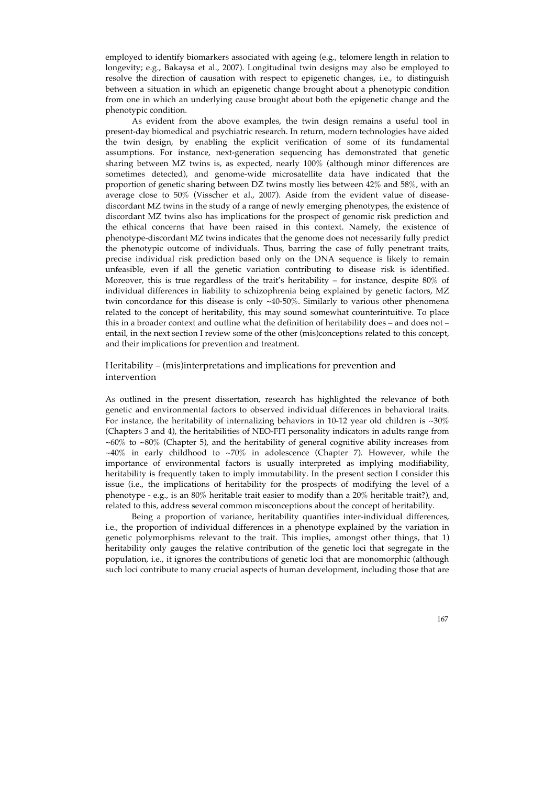employed to identify biomarkers associated with ageing (e.g., telomere length in relation to longevity; e.g., Bakaysa et al., 2007). Longitudinal twin designs may also be employed to resolve the direction of causation with respect to epigenetic changes, i.e., to distinguish between a situation in which an epigenetic change brought about a phenotypic condition from one in which an underlying cause brought about both the epigenetic change and the phenotypic condition.

As evident from the above examples, the twin design remains a useful tool in present-day biomedical and psychiatric research. In return, modern technologies have aided the twin design, by enabling the explicit verification of some of its fundamental assumptions. For instance, next-generation sequencing has demonstrated that genetic sharing between MZ twins is, as expected, nearly 100% (although minor differences are sometimes detected), and genome-wide microsatellite data have indicated that the proportion of genetic sharing between DZ twins mostly lies between 42% and 58%, with an average close to 50% (Visscher et al., 2007). Aside from the evident value of diseasediscordant MZ twins in the study of a range of newly emerging phenotypes, the existence of discordant MZ twins also has implications for the prospect of genomic risk prediction and the ethical concerns that have been raised in this context. Namely, the existence of phenotype-discordant MZ twins indicates that the genome does not necessarily fully predict the phenotypic outcome of individuals. Thus, barring the case of fully penetrant traits, precise individual risk prediction based only on the DNA sequence is likely to remain unfeasible, even if all the genetic variation contributing to disease risk is identified. Moreover, this is true regardless of the trait's heritability – for instance, despite  $80\%$  of individual differences in liability to schizophrenia being explained by genetic factors, MZ twin concordance for this disease is only ~40-50%. Similarly to various other phenomena related to the concept of heritability, this may sound somewhat counterintuitive. To place this in a broader context and outline what the definition of heritability does – and does not – entail, in the next section I review some of the other (mis)conceptions related to this concept, and their implications for prevention and treatment.

#### Heritability – (mis)interpretations and implications for prevention and intervention

As outlined in the present dissertation, research has highlighted the relevance of both genetic and environmental factors to observed individual differences in behavioral traits. For instance, the heritability of internalizing behaviors in 10-12 year old children is  $\sim$ 30% (Chapters 3 and 4), the heritabilities of NEO-FFI personality indicators in adults range from  $~60\%$  to  $~80\%$  (Chapter 5), and the heritability of general cognitive ability increases from  $~140\%$  in early childhood to  $~270\%$  in adolescence (Chapter 7). However, while the importance of environmental factors is usually interpreted as implying modifiability, heritability is frequently taken to imply immutability. In the present section I consider this issue (i.e., the implications of heritability for the prospects of modifying the level of a phenotype - e.g., is an 80% heritable trait easier to modify than a 20% heritable trait?), and, related to this, address several common misconceptions about the concept of heritability.

Being a proportion of variance, heritability quantifies inter-individual differences, i.e., the proportion of individual differences in a phenotype explained by the variation in genetic polymorphisms relevant to the trait. This implies, amongst other things, that 1) heritability only gauges the relative contribution of the genetic loci that segregate in the population, i.e., it ignores the contributions of genetic loci that are monomorphic (although such loci contribute to many crucial aspects of human development, including those that are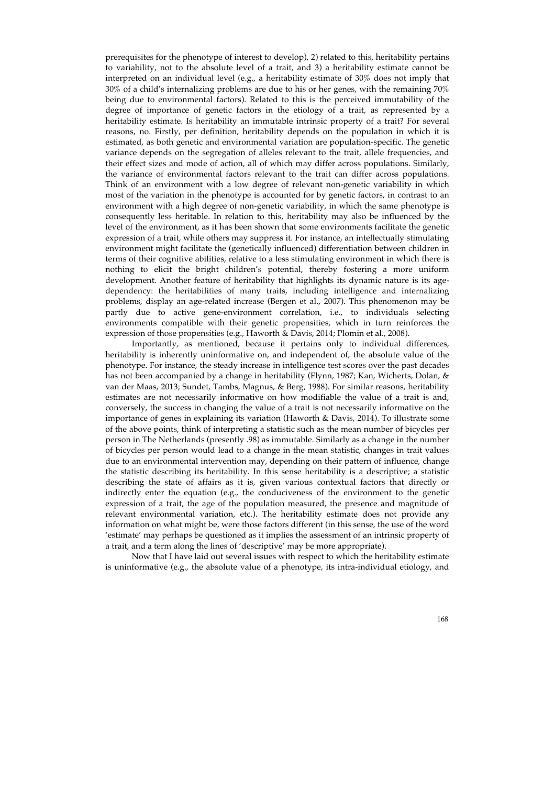prerequisites for the phenotype of interest to develop), 2) related to this, heritability pertains to variability, not to the absolute level of a trait, and 3) a heritability estimate cannot be interpreted on an individual level (e.g., a heritability estimate of 30% does not imply that 30% of a child's internalizing problems are due to his or her genes, with the remaining 70% being due to environmental factors). Related to this is the perceived immutability of the degree of importance of genetic factors in the etiology of a trait, as represented by a heritability estimate. Is heritability an immutable intrinsic property of a trait? For several reasons, no. Firstly, per definition, heritability depends on the population in which it is estimated, as both genetic and environmental variation are population-specific. The genetic variance depends on the segregation of alleles relevant to the trait, allele frequencies, and their effect sizes and mode of action, all of which may differ across populations. Similarly, the variance of environmental factors relevant to the trait can differ across populations. Think of an environment with a low degree of relevant non-genetic variability in which most of the variation in the phenotype is accounted for by genetic factors, in contrast to an environment with a high degree of non-genetic variability, in which the same phenotype is consequently less heritable. In relation to this, heritability may also be influenced by the level of the environment, as it has been shown that some environments facilitate the genetic expression of a trait, while others may suppress it. For instance, an intellectually stimulating environment might facilitate the (genetically influenced) differentiation between children in terms of their cognitive abilities, relative to a less stimulating environment in which there is nothing to elicit the bright children's potential, thereby fostering a more uniform development. Another feature of heritability that highlights its dynamic nature is its agedependency: the heritabilities of many traits, including intelligence and internalizing problems, display an age-related increase (Bergen et al., 2007). This phenomenon may be partly due to active gene-environment correlation, i.e., to individuals selecting environments compatible with their genetic propensities, which in turn reinforces the expression of those propensities (e.g., Haworth & Davis, 2014; Plomin et al., 2008).

Importantly, as mentioned, because it pertains only to individual differences, heritability is inherently uninformative on, and independent of, the absolute value of the phenotype. For instance, the steady increase in intelligence test scores over the past decades has not been accompanied by a change in heritability (Flynn, 1987; Kan, Wicherts, Dolan, & van der Maas, 2013; Sundet, Tambs, Magnus, & Berg, 1988). For similar reasons, heritability estimates are not necessarily informative on how modifiable the value of a trait is and, conversely, the success in changing the value of a trait is not necessarily informative on the importance of genes in explaining its variation (Haworth & Davis, 2014). To illustrate some of the above points, think of interpreting a statistic such as the mean number of bicycles per person in The Netherlands (presently .98) as immutable. Similarly as a change in the number of bicycles per person would lead to a change in the mean statistic, changes in trait values due to an environmental intervention may, depending on their pattern of influence, change the statistic describing its heritability. In this sense heritability is a descriptive; a statistic describing the state of affairs as it is, given various contextual factors that directly or indirectly enter the equation (e.g., the conduciveness of the environment to the genetic expression of a trait, the age of the population measured, the presence and magnitude of relevant environmental variation, etc.). The heritability estimate does not provide any information on what might be, were those factors different (in this sense, the use of the word 'estimate' may perhaps be questioned as it implies the assessment of an intrinsic property of a trait, and a term along the lines of 'descriptive' may be more appropriate).

Now that I have laid out several issues with respect to which the heritability estimate is uninformative (e.g., the absolute value of a phenotype, its intra-individual etiology, and